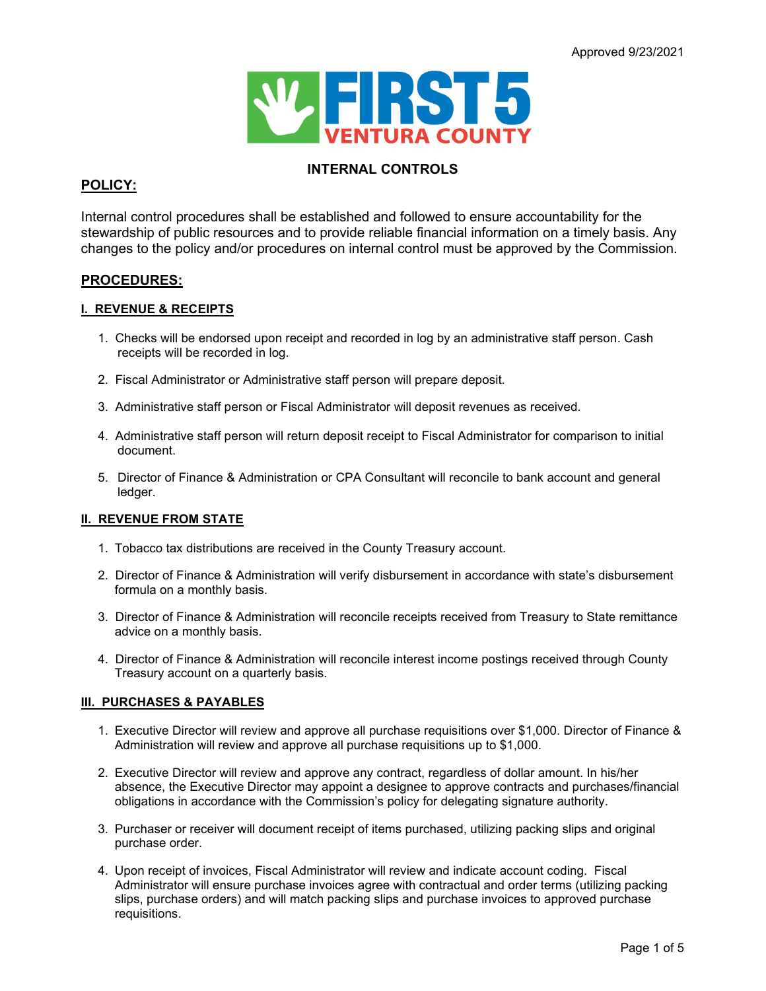

# **INTERNAL CONTROLS**

# **POLICY:**

Internal control procedures shall be established and followed to ensure accountability for the stewardship of public resources and to provide reliable financial information on a timely basis. Any changes to the policy and/or procedures on internal control must be approved by the Commission.

## **PROCEDURES:**

### **I. REVENUE & RECEIPTS**

- 1. Checks will be endorsed upon receipt and recorded in log by an administrative staff person. Cash receipts will be recorded in log.
- 2. Fiscal Administrator or Administrative staff person will prepare deposit.
- 3. Administrative staff person or Fiscal Administrator will deposit revenues as received.
- 4. Administrative staff person will return deposit receipt to Fiscal Administrator for comparison to initial document.
- 5. Director of Finance & Administration or CPA Consultant will reconcile to bank account and general ledger.

## **II. REVENUE FROM STATE**

- 1. Tobacco tax distributions are received in the County Treasury account.
- 2. Director of Finance & Administration will verify disbursement in accordance with state's disbursement formula on a monthly basis.
- 3. Director of Finance & Administration will reconcile receipts received from Treasury to State remittance advice on a monthly basis.
- 4. Director of Finance & Administration will reconcile interest income postings received through County Treasury account on a quarterly basis.

## **III. PURCHASES & PAYABLES**

- 1. Executive Director will review and approve all purchase requisitions over \$1,000. Director of Finance & Administration will review and approve all purchase requisitions up to \$1,000.
- 2. Executive Director will review and approve any contract, regardless of dollar amount. In his/her absence, the Executive Director may appoint a designee to approve contracts and purchases/financial obligations in accordance with the Commission's policy for delegating signature authority.
- 3. Purchaser or receiver will document receipt of items purchased, utilizing packing slips and original purchase order.
- 4. Upon receipt of invoices, Fiscal Administrator will review and indicate account coding. Fiscal Administrator will ensure purchase invoices agree with contractual and order terms (utilizing packing slips, purchase orders) and will match packing slips and purchase invoices to approved purchase requisitions.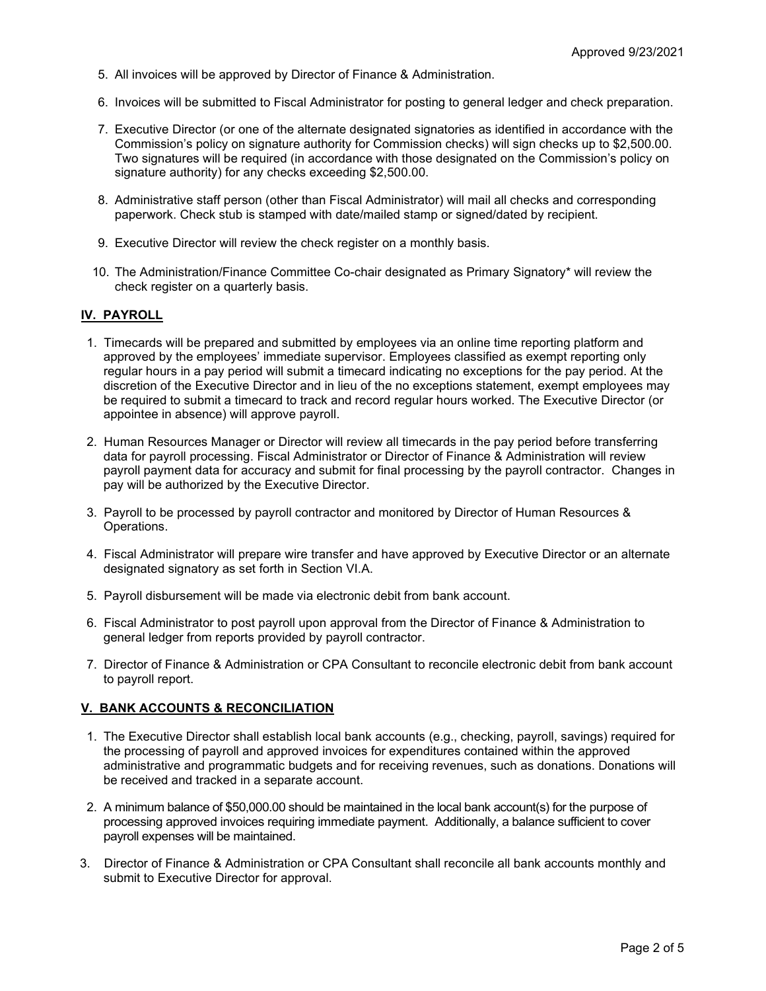- 5. All invoices will be approved by Director of Finance & Administration.
- 6. Invoices will be submitted to Fiscal Administrator for posting to general ledger and check preparation.
- 7. Executive Director (or one of the alternate designated signatories as identified in accordance with the Commission's policy on signature authority for Commission checks) will sign checks up to \$2,500.00. Two signatures will be required (in accordance with those designated on the Commission's policy on signature authority) for any checks exceeding \$2,500.00.
- 8. Administrative staff person (other than Fiscal Administrator) will mail all checks and corresponding paperwork. Check stub is stamped with date/mailed stamp or signed/dated by recipient.
- 9. Executive Director will review the check register on a monthly basis.
- 10. The Administration/Finance Committee Co-chair designated as Primary Signatory\* will review the check register on a quarterly basis.

#### **IV. PAYROLL**

- 1. Timecards will be prepared and submitted by employees via an online time reporting platform and approved by the employees' immediate supervisor. Employees classified as exempt reporting only regular hours in a pay period will submit a timecard indicating no exceptions for the pay period. At the discretion of the Executive Director and in lieu of the no exceptions statement, exempt employees may be required to submit a timecard to track and record regular hours worked. The Executive Director (or appointee in absence) will approve payroll.
- 2. Human Resources Manager or Director will review all timecards in the pay period before transferring data for payroll processing. Fiscal Administrator or Director of Finance & Administration will review payroll payment data for accuracy and submit for final processing by the payroll contractor. Changes in pay will be authorized by the Executive Director.
- 3. Payroll to be processed by payroll contractor and monitored by Director of Human Resources & Operations.
- 4. Fiscal Administrator will prepare wire transfer and have approved by Executive Director or an alternate designated signatory as set forth in Section VI.A.
- 5. Payroll disbursement will be made via electronic debit from bank account.
- 6. Fiscal Administrator to post payroll upon approval from the Director of Finance & Administration to general ledger from reports provided by payroll contractor.
- 7. Director of Finance & Administration or CPA Consultant to reconcile electronic debit from bank account to payroll report.

#### **V. BANK ACCOUNTS & RECONCILIATION**

- 1. The Executive Director shall establish local bank accounts (e.g., checking, payroll, savings) required for the processing of payroll and approved invoices for expenditures contained within the approved administrative and programmatic budgets and for receiving revenues, such as donations. Donations will be received and tracked in a separate account.
- 2. A minimum balance of \$50,000.00 should be maintained in the local bank account(s) for the purpose of processing approved invoices requiring immediate payment. Additionally, a balance sufficient to cover payroll expenses will be maintained.
- 3. Director of Finance & Administration or CPA Consultant shall reconcile all bank accounts monthly and submit to Executive Director for approval.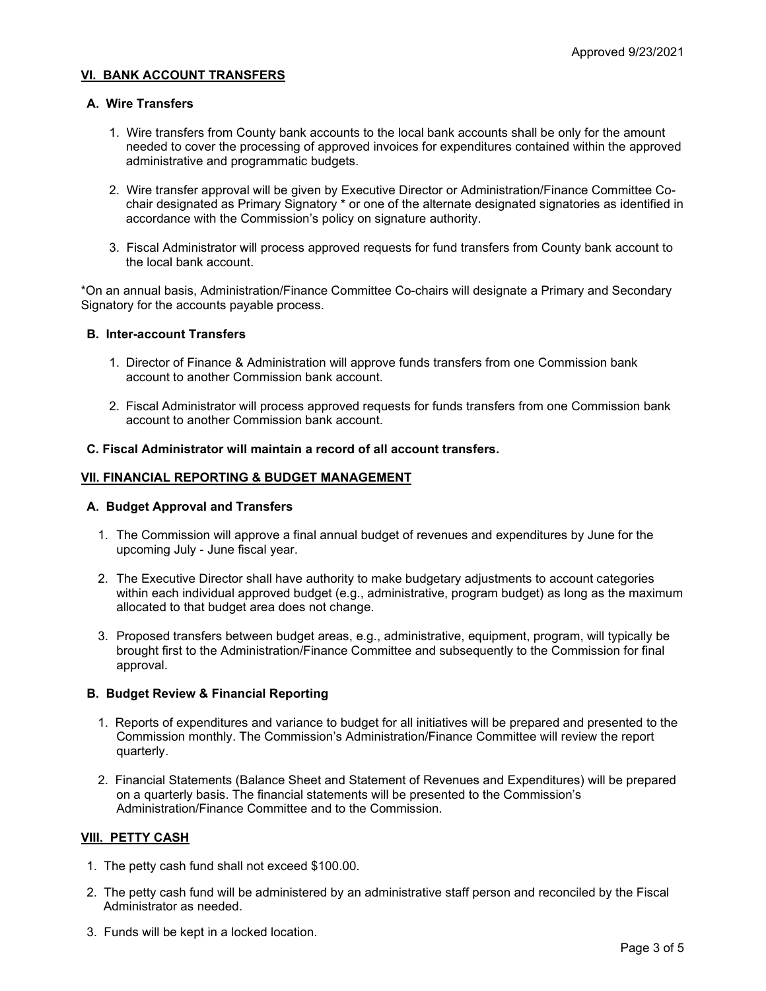#### **VI. BANK ACCOUNT TRANSFERS**

#### **A. Wire Transfers**

- 1. Wire transfers from County bank accounts to the local bank accounts shall be only for the amount needed to cover the processing of approved invoices for expenditures contained within the approved administrative and programmatic budgets.
- 2. Wire transfer approval will be given by Executive Director or Administration/Finance Committee Cochair designated as Primary Signatory \* or one of the alternate designated signatories as identified in accordance with the Commission's policy on signature authority.
- 3. Fiscal Administrator will process approved requests for fund transfers from County bank account to the local bank account.

\*On an annual basis, Administration/Finance Committee Co-chairs will designate a Primary and Secondary Signatory for the accounts payable process.

#### **B. Inter-account Transfers**

- 1. Director of Finance & Administration will approve funds transfers from one Commission bank account to another Commission bank account.
- 2. Fiscal Administrator will process approved requests for funds transfers from one Commission bank account to another Commission bank account.

#### **C. Fiscal Administrator will maintain a record of all account transfers.**

#### **VII. FINANCIAL REPORTING & BUDGET MANAGEMENT**

#### **A. Budget Approval and Transfers**

- 1. The Commission will approve a final annual budget of revenues and expenditures by June for the upcoming July - June fiscal year.
- 2. The Executive Director shall have authority to make budgetary adjustments to account categories within each individual approved budget (e.g., administrative, program budget) as long as the maximum allocated to that budget area does not change.
- 3. Proposed transfers between budget areas, e.g., administrative, equipment, program, will typically be brought first to the Administration/Finance Committee and subsequently to the Commission for final approval.

#### **B. Budget Review & Financial Reporting**

- 1. Reports of expenditures and variance to budget for all initiatives will be prepared and presented to the Commission monthly. The Commission's Administration/Finance Committee will review the report quarterly.
- 2. Financial Statements (Balance Sheet and Statement of Revenues and Expenditures) will be prepared on a quarterly basis. The financial statements will be presented to the Commission's Administration/Finance Committee and to the Commission.

#### **VIII. PETTY CASH**

- 1. The petty cash fund shall not exceed \$100.00.
- 2. The petty cash fund will be administered by an administrative staff person and reconciled by the Fiscal Administrator as needed.
- 3. Funds will be kept in a locked location.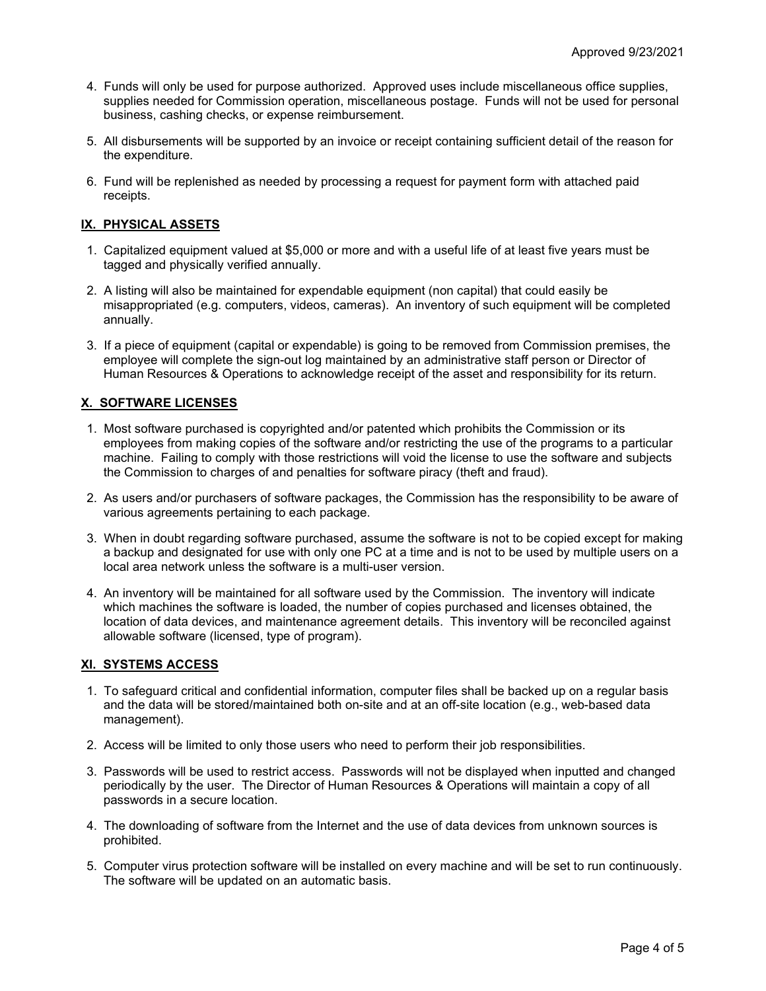- 4. Funds will only be used for purpose authorized. Approved uses include miscellaneous office supplies, supplies needed for Commission operation, miscellaneous postage. Funds will not be used for personal business, cashing checks, or expense reimbursement.
- 5. All disbursements will be supported by an invoice or receipt containing sufficient detail of the reason for the expenditure.
- 6. Fund will be replenished as needed by processing a request for payment form with attached paid receipts.

## **IX. PHYSICAL ASSETS**

- 1. Capitalized equipment valued at \$5,000 or more and with a useful life of at least five years must be tagged and physically verified annually.
- 2. A listing will also be maintained for expendable equipment (non capital) that could easily be misappropriated (e.g. computers, videos, cameras). An inventory of such equipment will be completed annually.
- 3. If a piece of equipment (capital or expendable) is going to be removed from Commission premises, the employee will complete the sign-out log maintained by an administrative staff person or Director of Human Resources & Operations to acknowledge receipt of the asset and responsibility for its return.

## **X. SOFTWARE LICENSES**

- 1. Most software purchased is copyrighted and/or patented which prohibits the Commission or its employees from making copies of the software and/or restricting the use of the programs to a particular machine. Failing to comply with those restrictions will void the license to use the software and subjects the Commission to charges of and penalties for software piracy (theft and fraud).
- 2. As users and/or purchasers of software packages, the Commission has the responsibility to be aware of various agreements pertaining to each package.
- 3. When in doubt regarding software purchased, assume the software is not to be copied except for making a backup and designated for use with only one PC at a time and is not to be used by multiple users on a local area network unless the software is a multi-user version.
- 4. An inventory will be maintained for all software used by the Commission. The inventory will indicate which machines the software is loaded, the number of copies purchased and licenses obtained, the location of data devices, and maintenance agreement details. This inventory will be reconciled against allowable software (licensed, type of program).

## **XI. SYSTEMS ACCESS**

- 1. To safeguard critical and confidential information, computer files shall be backed up on a regular basis and the data will be stored/maintained both on-site and at an off-site location (e.g., web-based data management).
- 2. Access will be limited to only those users who need to perform their job responsibilities.
- 3. Passwords will be used to restrict access. Passwords will not be displayed when inputted and changed periodically by the user. The Director of Human Resources & Operations will maintain a copy of all passwords in a secure location.
- 4. The downloading of software from the Internet and the use of data devices from unknown sources is prohibited.
- 5. Computer virus protection software will be installed on every machine and will be set to run continuously. The software will be updated on an automatic basis.